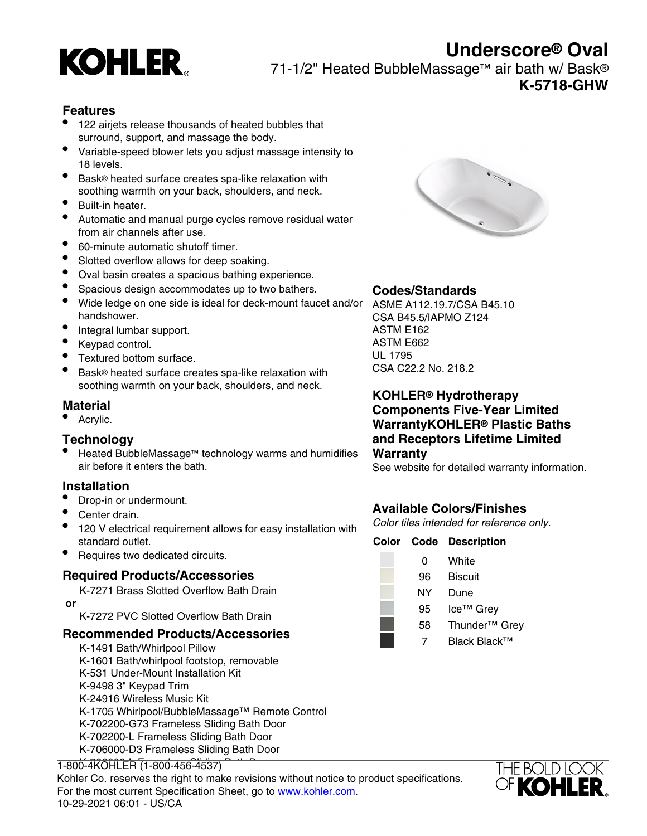

# **Underscore® Oval**

71-1/2" Heated BubbleMassage™ air bath w/ Bask® **K-5718-GHW**

#### **Features**

- 122 airjets release thousands of heated bubbles that surround, support, and massage the body.
- Variable-speed blower lets you adjust massage intensity to 18 levels.
- Bask® heated surface creates spa-like relaxation with soothing warmth on your back, shoulders, and neck.
- Built-in heater.
- Automatic and manual purge cycles remove residual water from air channels after use.
- 60-minute automatic shutoff timer.
- Slotted overflow allows for deep soaking.
- Oval basin creates a spacious bathing experience.
- Spacious design accommodates up to two bathers.
- Wide ledge on one side is ideal for deck-mount faucet and/or ASME A112.19.7/CSA B45.10 handshower.
- Integral lumbar support.
- Keypad control.
- Textured bottom surface.
- Bask® heated surface creates spa-like relaxation with soothing warmth on your back, shoulders, and neck.

### **Material**

Acrylic.

#### **Technology**

Heated BubbleMassage™ technology warms and humidifies air before it enters the bath.

#### **Installation**

- Drop-in or undermount.
- Center drain.
- 120 V electrical requirement allows for easy installation with standard outlet.
- Requires two dedicated circuits.

#### **Required Products/Accessories**

K-7271 Brass Slotted Overflow Bath Drain  **or**

K-7272 PVC Slotted Overflow Bath Drain

#### **Recommended Products/Accessories**

K-1491 Bath/Whirlpool Pillow K-1601 Bath/whirlpool footstop, removable K-531 Under-Mount Installation Kit K-9498 3" Keypad Trim K-24916 Wireless Music Kit K-1705 Whirlpool/BubbleMassage™ Remote Control K-702200-G73 Frameless Sliding Bath Door K-702200-L Frameless Sliding Bath Door K-706000-D3 Frameless Sliding Bath Door





### **Codes/Standards**

CSA B45.5/IAPMO Z124 ASTM E162 ASTM E662 UL 1795 CSA C22.2 No. 218.2

**KOHLER® Hydrotherapy Components Five-Year Limited WarrantyKOHLER® Plastic Baths and Receptors Lifetime Limited Warranty**

See website for detailed warranty information.

# **Available Colors/Finishes**

Color tiles intended for reference only.

#### **Color Code Description**

0 White 96 Biscuit NY Dune 95 Ice™ Grev 58 Thunder™ Grey 7 Black Black™